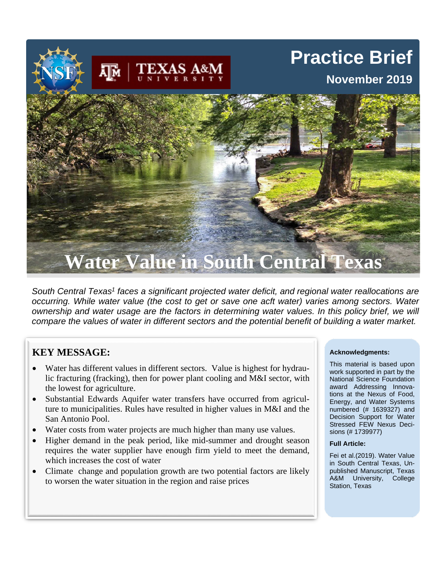# **Practice Brief**

## **November 2019**



*South Central Texas1 faces a significant projected water deficit, and regional water reallocations are occurring. While water value (the cost to get or save one acft water) varies among sectors. Water ownership and water usage are the factors in determining water values. In this policy brief, we will compare the values of water in different sectors and the potential benefit of building a water market.*

## **KEY MESSAGE:**

- Water has different values in different sectors. Value is highest for hydraulic fracturing (fracking), then for power plant cooling and M&I sector, with the lowest for agriculture.
- Substantial Edwards Aquifer water transfers have occurred from agriculture to municipalities. Rules have resulted in higher values in M&I and the San Antonio Pool.
- Water costs from water projects are much higher than many use values.
- Higher demand in the peak period, like mid-summer and drought season requires the water supplier have enough firm yield to meet the demand, which increases the cost of water
- Climate change and population growth are two potential factors are likely to worsen the water situation in the region and raise prices

#### **Acknowledgments:**

This material is based upon work supported in part by the National Science Foundation award Addressing Innovations at the Nexus of Food, Energy, and Water Systems numbered (# 1639327) and Decision Support for Water Stressed FEW Nexus Decisions (# 1739977)

#### **Full Article:**

Fei et al.(2019). Water Value in South Central Texas, Unpublished Manuscript, Texas A&M University, College Station, Texas